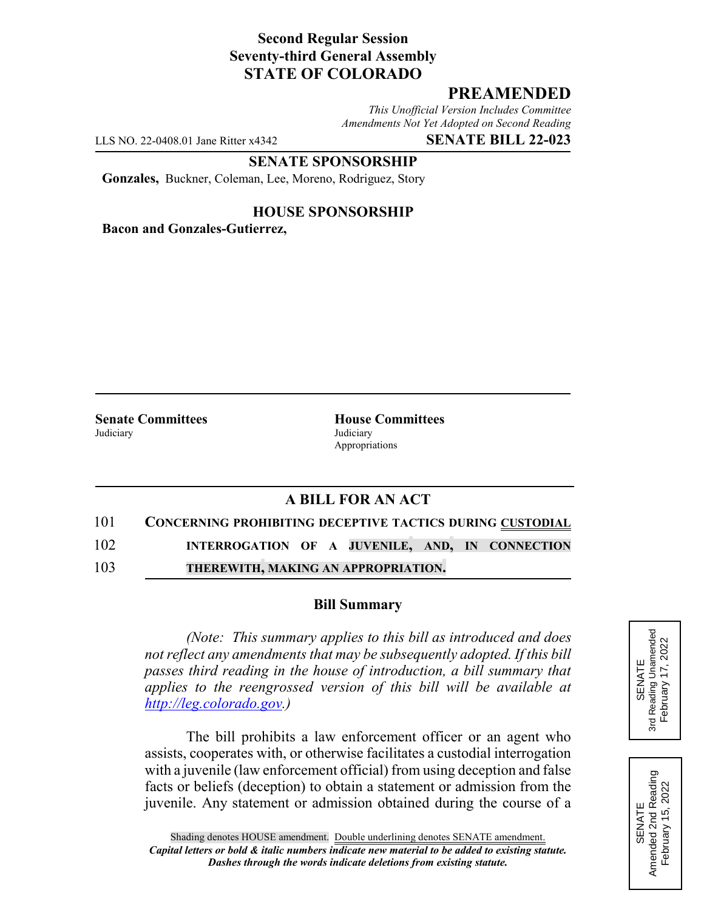# **Second Regular Session Seventy-third General Assembly STATE OF COLORADO**

# **PREAMENDED**

*This Unofficial Version Includes Committee Amendments Not Yet Adopted on Second Reading*

LLS NO. 22-0408.01 Jane Ritter x4342 **SENATE BILL 22-023**

**SENATE SPONSORSHIP**

**Gonzales,** Buckner, Coleman, Lee, Moreno, Rodriguez, Story

### **HOUSE SPONSORSHIP**

**Bacon and Gonzales-Gutierrez,**

Judiciary Judiciary

**Senate Committees House Committees** Appropriations

## **A BILL FOR AN ACT**

101 **CONCERNING PROHIBITING DECEPTIVE TACTICS DURING CUSTODIAL**

102 **INTERROGATION OF A JUVENILE, AND, IN CONNECTION**

103 **THEREWITH, MAKING AN APPROPRIATION.**

#### **Bill Summary**

*(Note: This summary applies to this bill as introduced and does not reflect any amendments that may be subsequently adopted. If this bill passes third reading in the house of introduction, a bill summary that applies to the reengrossed version of this bill will be available at http://leg.colorado.gov.)*

The bill prohibits a law enforcement officer or an agent who assists, cooperates with, or otherwise facilitates a custodial interrogation with a juvenile (law enforcement official) from using deception and false facts or beliefs (deception) to obtain a statement or admission from the juvenile. Any statement or admission obtained during the course of a



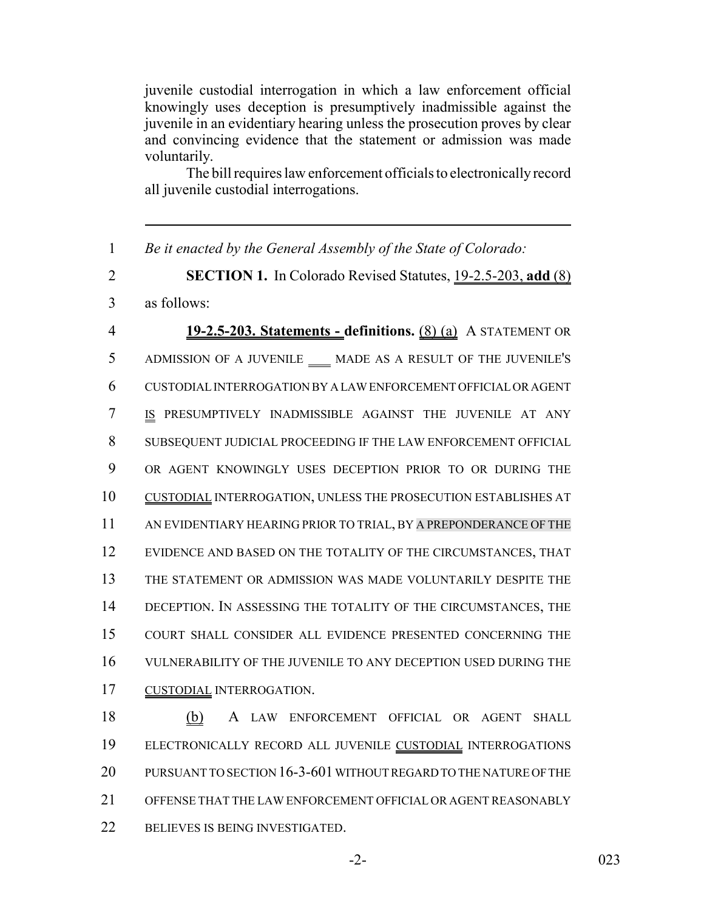juvenile custodial interrogation in which a law enforcement official knowingly uses deception is presumptively inadmissible against the juvenile in an evidentiary hearing unless the prosecution proves by clear and convincing evidence that the statement or admission was made voluntarily.

The bill requires law enforcement officials to electronically record all juvenile custodial interrogations.

*Be it enacted by the General Assembly of the State of Colorado:*

 **SECTION 1.** In Colorado Revised Statutes, 19-2.5-203, **add** (8) as follows:

 **19-2.5-203. Statements - definitions.** (8) (a) A STATEMENT OR 5 ADMISSION OF A JUVENILE \_\_\_ MADE AS A RESULT OF THE JUVENILE'S CUSTODIAL INTERROGATION BY A LAW ENFORCEMENT OFFICIAL OR AGENT IS PRESUMPTIVELY INADMISSIBLE AGAINST THE JUVENILE AT ANY SUBSEQUENT JUDICIAL PROCEEDING IF THE LAW ENFORCEMENT OFFICIAL OR AGENT KNOWINGLY USES DECEPTION PRIOR TO OR DURING THE CUSTODIAL INTERROGATION, UNLESS THE PROSECUTION ESTABLISHES AT 11 AN EVIDENTIARY HEARING PRIOR TO TRIAL, BY A PREPONDERANCE OF THE EVIDENCE AND BASED ON THE TOTALITY OF THE CIRCUMSTANCES, THAT THE STATEMENT OR ADMISSION WAS MADE VOLUNTARILY DESPITE THE DECEPTION. IN ASSESSING THE TOTALITY OF THE CIRCUMSTANCES, THE COURT SHALL CONSIDER ALL EVIDENCE PRESENTED CONCERNING THE VULNERABILITY OF THE JUVENILE TO ANY DECEPTION USED DURING THE CUSTODIAL INTERROGATION.

 (b) A LAW ENFORCEMENT OFFICIAL OR AGENT SHALL 19 ELECTRONICALLY RECORD ALL JUVENILE CUSTODIAL INTERROGATIONS PURSUANT TO SECTION 16-3-601 WITHOUT REGARD TO THE NATURE OF THE OFFENSE THAT THE LAW ENFORCEMENT OFFICIAL OR AGENT REASONABLY BELIEVES IS BEING INVESTIGATED.

-2- 023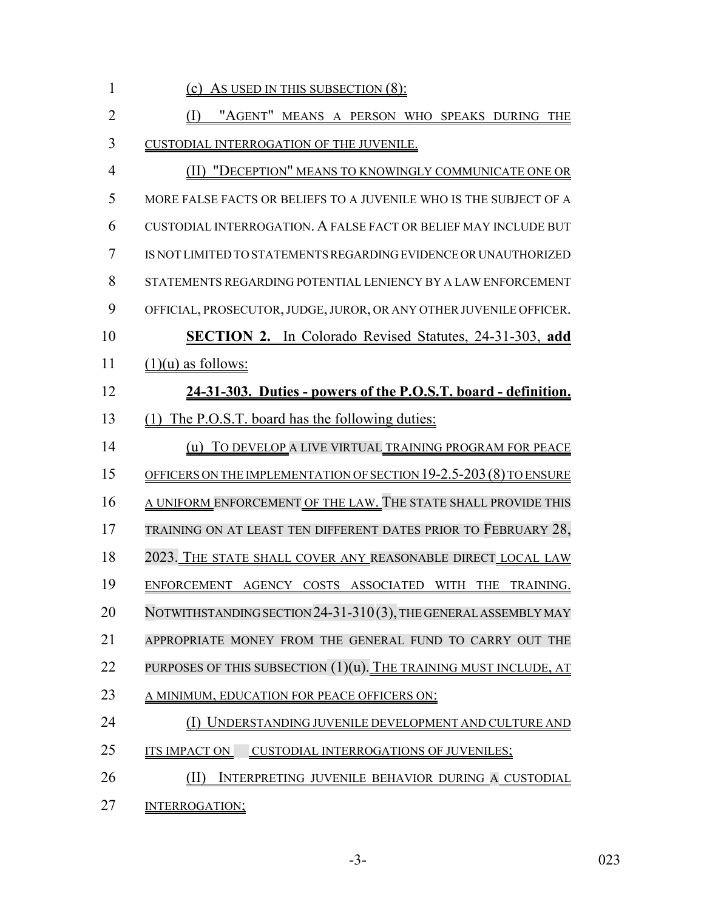| $\mathbf{1}$   | (c) As USED IN THIS SUBSECTION $(8)$ :                             |
|----------------|--------------------------------------------------------------------|
| $\overline{2}$ | "AGENT" MEANS A PERSON WHO SPEAKS DURING THE                       |
| 3              | CUSTODIAL INTERROGATION OF THE JUVENILE.                           |
| $\overline{4}$ | (II) "DECEPTION" MEANS TO KNOWINGLY COMMUNICATE ONE OR             |
| 5              | MORE FALSE FACTS OR BELIEFS TO A JUVENILE WHO IS THE SUBJECT OF A  |
| 6              | CUSTODIAL INTERROGATION. A FALSE FACT OR BELIEF MAY INCLUDE BUT    |
| 7              | IS NOT LIMITED TO STATEMENTS REGARDING EVIDENCE OR UNAUTHORIZED    |
| 8              | STATEMENTS REGARDING POTENTIAL LENIENCY BY A LAW ENFORCEMENT       |
| 9              | OFFICIAL, PROSECUTOR, JUDGE, JUROR, OR ANY OTHER JUVENILE OFFICER. |
| 10             | <b>SECTION 2.</b> In Colorado Revised Statutes, 24-31-303, add     |
| 11             | $(1)(u)$ as follows:                                               |
| 12             | 24-31-303. Duties - powers of the P.O.S.T. board - definition.     |
| 13             | (1) The P.O.S.T. board has the following duties:                   |
| 14             | (u) TO DEVELOP A LIVE VIRTUAL TRAINING PROGRAM FOR PEACE           |
| 15             | OFFICERS ON THE IMPLEMENTATION OF SECTION 19-2.5-203 (8) TO ENSURE |
| 16             | A UNIFORM ENFORCEMENT OF THE LAW. THE STATE SHALL PROVIDE THIS     |
| 17             | TRAINING ON AT LEAST TEN DIFFERENT DATES PRIOR TO FEBRUARY 28,     |
| 18             | 2023. THE STATE SHALL COVER ANY REASONABLE DIRECT LOCAL LAW        |
| 19             | ENFORCEMENT AGENCY COSTS ASSOCIATED WITH THE TRAINING.             |
| 20             | NOTWITHSTANDING SECTION 24-31-310(3), THE GENERAL ASSEMBLY MAY     |
| 21             | APPROPRIATE MONEY FROM THE GENERAL FUND TO CARRY OUT THE           |
| 22             | PURPOSES OF THIS SUBSECTION (1)(u). THE TRAINING MUST INCLUDE, AT  |
| 23             | A MINIMUM, EDUCATION FOR PEACE OFFICERS ON:                        |
| 24             | UNDERSTANDING JUVENILE DEVELOPMENT AND CULTURE AND                 |
| 25             | CUSTODIAL INTERROGATIONS OF JUVENILES;<br><b>ITS IMPACT ON</b>     |
| 26             | INTERPRETING JUVENILE BEHAVIOR DURING A CUSTODIAL                  |
| 27             | <b>INTERROGATION;</b>                                              |